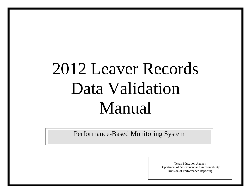# 2012 Leaver Records Data Validation Manual

Performance-Based Monitoring System

Texas Education Agency Department of Assessment and Accountability Division of Performance Reporting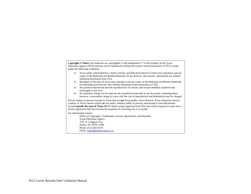**Copyright © Notice** The materials are copyrighted © and trademarked ™ as the property of the Texas Education Agency (TEA) and may not be reproduced without the express written permission of TEA, except under the following conditions:

- 1) Texas public school districts, charter schools, and Education Service Centers may reproduce and use copies of the Materials and Related Materials for the districts' and schools' educational use without obtaining permission from TEA.
- 2) Residents of the state of Texas may reproduce and use copies of the Materials and Related Materials for individual personal use only without obtaining written permission of TEA.
- 3) Any portion reproduced must be reproduced in its entirety and remain unedited, unaltered and unchanged in any way.
- 4) No monetary charge can be made for the reproduced materials or any document containing them; however, a reasonable charge to cover only the cost of reproduction and distribution may be charged.

Private entities or persons located in Texas that are **not** Texas public school districts, Texas Education Service Centers, or Texas charter schools **or** any entity, whether public or private, educational or non-educational, located **outside the state of Texas** *MUST* obtain written approval from TEA and will be required to enter into a license agreement that may involve the payment of a licensing fee or a royalty.

For information contact:

Office of Copyrights, Trademarks, License Agreements, and Royalties Texas Education Agency 1701 N. Congress Ave. Austin, TX 78701-1494 Phone: (512) 463-9270 Email[: copyrights@tea.state.tx.us](mailto:copyrights@tea.state.tx.us)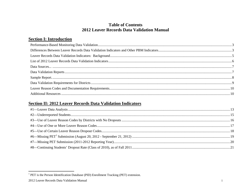## <span id="page-2-0"></span>**Table of Contents** 2012 Leaver Records Data Validation Manual

## **Section I: Introduction**

## **Section II: 2012 Leaver Records Data Validation Indicators**

<sup>&</sup>lt;sup>1</sup> PET is the Person Identification Database (PID) Enrollment Tracking (PET) extension.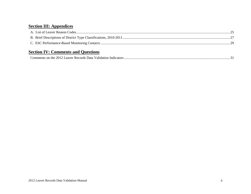## **Section III: Appendices**

## **Section IV: Comments and Questions**

| Comments on the 2012 Leaver Records Data Validation Indicators |
|----------------------------------------------------------------|
|----------------------------------------------------------------|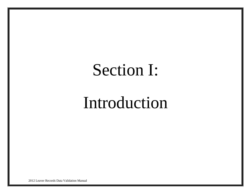# Section I:

# Introduction

2012 Leaver Records Data Validation Manual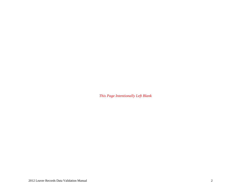*This Page Intentionally Left Blank*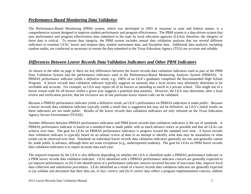## *Performance-Based Monitoring Data Validation*

The Performance-Based Monitoring (PBM) system, which was developed in 2003 in response to state and federal statute, is a comprehensive system designed to improve student performance and program effectiveness. The PBM system is a data-driven system that uses performance and program effectiveness data submitted to the state by local education agencies (LEAs); therefore, the integrity of these data is critical. To ensure data integrity, the PBM system includes annual data validation analyses that use several different indicators to examine LEAs' leaver and dropout data, student assessment data, and discipline data. Additional data analyses, including random audits, are conducted as necessary to ensure the data submitted to the Texas Education Agency (TEA) are accurate and reliable.

## *Differences Between Leaver Records Data Validation Indicators and Other PBM Indicators*

As shown in the table on page 4, there are key differences between the leaver records data validation indicators used as part of the PBM Data Validation System and the performance indicators used in the Performance-Based Monitoring Analysis System (PBMAS). A PBMAS performance indicator yields a *definitive* result, e.g., 100% of an LEA's graduates completed the Recommended High School Program. A leaver records data validation indicator typically *suggests* an anomaly that a local review may ultimately determine to be verifiable and accurate. For example, an LEA may report all of its leavers as intending to enroll in a private school. This single use of a leaver reason code for all leavers within a given year suggests a potential data anomaly. However, the LEA may determine, after a local review and verification process, that the exclusive use of one particular leaver reason code can be validated.

Because a PBMAS performance indicator yields a definitive result, an LEA's performance on PBMAS indicators is made *public*. Because a leaver records data validation indicator typically yields a result that is suggestive but may not be definitive, an LEA's initial results on these indicators are *not made public*. Results of the leaver records data validation indicators are only released on the Texas Education Agency Secure Environment (TEASE).

Another difference between PBMAS performance indicators and PBM leaver records data validation indicators is the use of standards. A PBMAS performance indicator is based on a *standard* that is made public with as much advance notice as possible and that all LEAs can achieve over time. The goal for LEAs on PBMAS performance indicators is progress toward the standard over time. A leaver records data validation indicator is typically based on an *annual review of data* in an attempt to identify what data may be anomalous or what trends can be observed over time. Standards on individual leaver records data validation indicators generally are not, and generally cannot be, made public in advance, although there are some exceptions (e.g., underreported students). The goal for LEAs on PBM leaver records data validation indicators is to report accurate data each year.

The required response by the LEA is also different depending on whether the LEA is identified under a PBMAS performance indicator or a PBM leaver records data validation indicator. LEAs identified with a PBMAS performance indicator concern are generally expected to (a) improve performance; or (b) if the identification of a performance indicator concern occurred because of inaccurate data, improve local data collection and submission procedures. LEAs identified as a result of a leaver records data validation indicator are generally expected to (a) validate and document that their data are, in fact, correct; and (b) if correct data reflect a program implementation concern, address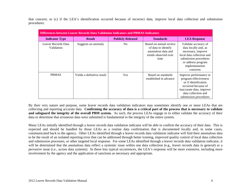that concern; or (c) if the LEA's identification occurred because of incorrect data, improve local data collection and submission procedures.

| Differences between Leaver Records Data Validation Indicators and PBMAS Indicators |                            |                          |                                                                                                     |                                                                                                                                                                              |  |
|------------------------------------------------------------------------------------|----------------------------|--------------------------|-----------------------------------------------------------------------------------------------------|------------------------------------------------------------------------------------------------------------------------------------------------------------------------------|--|
| <b>Indicator Type</b>                                                              | <b>Result</b>              | <b>Publicly Released</b> | <b>Standards</b>                                                                                    | <b>LEA Response</b>                                                                                                                                                          |  |
| Leaver Records Data<br>Validation                                                  | Suggests an anomaly        | No.                      | Based on annual review<br>of data to identify<br>anomalous data and<br>trends observed over<br>time | Validate accuracy of<br>data locally and, as<br>necessary, improve<br>local data collection and<br>submission procedures<br>or address program<br>implementation<br>concerns |  |
| <b>PBMAS</b>                                                                       | Yields a definitive result | Yes                      | Based on standards<br>established in advance                                                        | Improve performance or<br>program effectiveness<br>or if identification<br>occurred because of<br>inaccurate data, improve<br>data collection and<br>submission procedures   |  |

By their very nature and purpose, some leaver records data validation indicators may sometimes identify one or more LEAs that are collecting and reporting accurate data. **Confirming the accuracy of data is a critical part of the process that is necessary to validate and safeguard the integrity of the overall PBM system.** As such, the process LEAs engage in to either validate the accuracy of their data or determine that erroneous data were submitted is fundamental to the integrity of the entire system.

Many LEAs initially identified through a leaver records data validation indicator will be able to confirm the accuracy of their data. This is expected and should be handled by those LEAs as a routine data confirmation that is documented locally and, in some cases, communicated back to the agency. Other LEAs identified through a leaver records data validation indicator will find their anomalous data to be the result of an isolated reporting error that can be addressed through better training, improved quality control of local data collection and submission processes, or other targeted local response. For some LEAs identified through a leaver records data validation indicator, it will be determined that the anomalous data reflect a systemic issue within one data collection (e.g., leaver records data in general) or a pervasive issue (i.e., across data systems). In these less typical occurrences, the LEA's response will be more extensive, including more involvement by the agency and the application of sanctions as necessary and appropriate.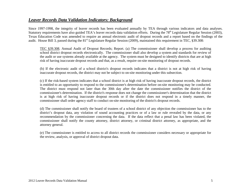## *Leaver Records Data Validation Indicators: Background*

Since 1997-1998, the integrity of leaver records has been evaluated annually by TEA through various indicators and data analyses. Statutory requirements have also guided TEA's leaver records data validation efforts. During the 78<sup>th</sup> Legislature Regular Session (2003), Texas Education Code was amended to require an annual electronic audit of dropout records and a report based on the findings of the audit. House Bill 3, passed during the 81<sup>st</sup> Legislature Regular Session (2009), maintained this requirement in TEC, §39.308:

TEC §39.308. Annual Audit of Dropout Records; Report. (a) The commissioner shall develop a process for auditing school district dropout records electronically. The commissioner shall also develop a system and standards for review of the audit or use systems already available at the agency. The system must be designed to identify districts that are at high risk of having inaccurate dropout records and that, as a result, require on-site monitoring of dropout records.

(b) If the electronic audit of a school district's dropout records indicates that a district is not at high risk of having inaccurate dropout records, the district may not be subject to on-site monitoring under this subsection.

(c) If the risk-based system indicates that a school district is at high risk of having inaccurate dropout records, the district is entitled to an opportunity to respond to the commissioner's determination before on-site monitoring may be conducted. The district must respond not later than the 30th day after the date the commissioner notifies the district of the commissioner's determination. If the district's response does not change the commissioner's determination that the district is at high risk of having inaccurate dropout records or if the district does not respond in a timely manner, the commissioner shall order agency staff to conduct on-site monitoring of the district's dropout records.

(d) The commissioner shall notify the board of trustees of a school district of any objection the commissioner has to the district's dropout data, any violation of sound accounting practices or of a law or rule revealed by the data, or any recommendation by the commissioner concerning the data. If the data reflect that a penal law has been violated, the commissioner shall notify the county attorney, district attorney, or criminal district attorney, as appropriate, and the attorney general.

(e) The commissioner is entitled to access to all district records the commissioner considers necessary or appropriate for the review, analysis, or approval of district dropout data.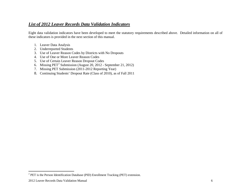## <span id="page-9-0"></span>*List of 2012 Leaver Records Data Validation Indicators*

Eight data validation indicators have been developed to meet the statutory requirements described above. Detailed information on all of these indicators is provided in the next section of this manual.

- 1. Leaver Data Analysis
- 2. Underreported Students
- 3. Use of Leaver Reason Codes by Districts with No Dropouts
- 4. Use of One or More Leaver Reason Codes
- 5. Use of Certain Leaver Reason Dropout Codes
- 6. Missing  $PET^2$  $PET^2$  Submission (August 20, 2012 September 21, 2012)
- 7. Missing PET Submission (2011-2012 Reporting Year)
- 8. Continuing Students' Dropout Rate (Class of 2010), as of Fall 2011

<sup>&</sup>lt;sup>2</sup> PET is the Person Identification Database (PID) Enrollment Tracking (PET) extension.

<sup>2012</sup> Leaver Records Data Validation Manual 6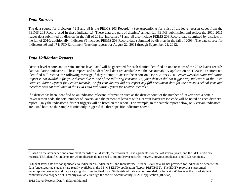## <span id="page-10-1"></span><span id="page-10-0"></span>*Data Sources*

The data source for Indicators #1-5 and #8 is the PEIMS 20[3](#page-10-0) Record.<sup>3</sup> (See Appendix A for a list of the leaver reason codes from the PEIMS 203 Record used in these indicators.) These data are part of districts' annual fall PEIMS submission and reflect the 2010-2011 leaver data submitted by districts in the fall of 2011. Indicators #1 and #8 also include PEIMS 203 Record data submitted by districts in the fall of 2010; additionally, Indicator #1 includes PEIMS 203 Record data submitted by districts in the fall of 2009. The data source for Indicators #6 and #7 is PID Enrollment Tracking reports for August 22, 2011 through September 21, 2012.

## *Data Validation Reports*

District-level reports and certain student-level data<sup>[4](#page-10-1)</sup> will be generated for each district identified on one or more of the 2012 leaver records data validation indicators. These reports and student-level data are available via the Accountability application on TEASE. Districts not identified will receive the following message if they attempt to access the report on TEASE: *"A PBM Leaver Records Data Validation Report is not available for your district due to one of the following reasons: (a) your district did not trigger any indicators in the PBM Data Validation System for Leaver Records; or (b) your district did not report any fall enrollment data for the previous school year and therefore was not evaluated in the PBM Data Validation System for Leaver Records."*

If a district has been identified on an indicator, relevant information such as the district count of the number of leavers with a certain leaver reason code, the total number of leavers, and the percent of leavers with a certain leaver reason code will be noted on each district's report. Only the indicators a district triggers will be listed on the report. For example, in the sample report below, only certain indicators are listed because the sample district only triggered the three specific indicators shown.

<sup>&</sup>lt;sup>3</sup> Based on the attendance and enrollment records of all districts, the records of Texas graduates for the last several years, and the GED certificate records, TEA identifies students for whom districts do not need to submit leaver records: movers, previous graduates, and GED recipients.

<sup>4</sup> Student-level data are not applicable to Indicator #1, Indicator #6, and Indicator #7. Student-level data are not provided for Indicator #2 because the data (underreported students) are readily available in the PEIMS EDIT+ application (Report PRF0B032). The EDIT+ report lists presumed underreported students and may vary slightly from the final lists. Student-level data are not provided for Indicator #8 because the list of student continuers who dropped out is readily available through the secure Accountability TEASE application (RES tab).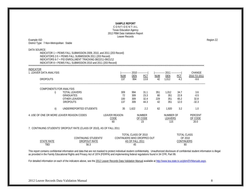#### **SAMPLE REPORT**

#### CONFIDENTIAL Texas Education Agency 2012 PBM Data Validation Report Leaver Records

#### Example ISD Region ZZ

District Type: 7-Non-Metropolitan: Stable

#### DATA SOURCE:

INDICATOR 1 = PEIMS FALL SUBMISSION 2009, 2010, and 2011 (203 Record) INDICATORS 2-5 = PEIMS FALL SUBMISSION 2011 (203 Record) INDICATORS 6-7 = PID ENROLLMENT TRACKING 08/22/11-09/21/12 INDICATOR 8 = PEIMS FALL SUBMISSION 2010 and 2011 (203 Record) \*\*\*\*\*\*\*\*\*\*\*\*\*\*\*\*\*\*\*\*\*\*\*\*\*\*\*\*\*\*\*\*\*\*\*\*\*\*\*\*\*\*\*\*\*\*\*\*\*\*\*\*\*\*\*\*\*\*\*\*\*\*\*\*\*\*\*\*\*\*\*\*\*\*\*\*\*\*\*\*\*\*\*\*\*\*\*\*\*\*\*\*\*\*\*\*\*\*\*\*\*\*\*\*\*\*\*\*\*\*\*\*\*\*\*\*\*\*\*\*\*\*\*\*\*\*\*\*\*\*\*\*\*\*\*\*\*\*\*\*\*\*\*\*\*\*\*\*\*\*\*\*\*\*\*\*\*\*\*\*\*\*\*\*\*\*\*\*\*\*\*\*\*\*\*\*\*\*\*\*\*\*\*\*\*\*\*\*\*\*\*\*\*

#### INDICATOR

| <br>1. LEAVER DATA ANALYSIS<br><b>DROPOUTS</b> | ------------<br><b>NUM</b><br>137 | DEN<br>994 | 2010 -------------<br><u>PCT</u><br>13.8 | ------------<br><b>NUM</b><br>42 | 2011<br><u>DEN</u><br>1,012 | <b>PCT</b><br>4.2 | <b>CHANGE</b><br>2010 TO 2011<br>$-9.6$ |
|------------------------------------------------|-----------------------------------|------------|------------------------------------------|----------------------------------|-----------------------------|-------------------|-----------------------------------------|
| <b>COMPONENTS FOR ANALYSIS</b>                 |                                   |            |                                          |                                  |                             |                   |                                         |
| <b>TOTAL LEAVERS</b>                           | 309                               | 994        | 31.1                                     | 351                              | 1.012                       | 34.7              | 3.6                                     |
| <b>GRADUATES</b>                               | 72                                | 309        | 23.3                                     | 80                               | 351                         | 22.8              | $-0.5$                                  |
| OTHER LEAVERS                                  | 100                               | 309        | 32.4                                     | 229                              | 351                         | 65.2              | 32.8                                    |
| <b>DROPOUTS</b>                                | 137                               | 309        | 44.3                                     | 42                               | 351                         | 12.0              | $-32.3$                                 |
| ii)<br>UNDERREPORTED STUDENTS                  | 35                                | .622       | 2.2                                      | 62                               | .920                        | 3.2               | 1.0                                     |
| 4. USE OF ONE OR MORE LEAVER REASON CODES      | <b>LEAVER REASON</b>              |            | NUMBER                                   |                                  | NUMBER OF                   |                   | PERCENT                                 |
|                                                | <b>CODE</b>                       |            | OF CODE                                  |                                  | <b>LEAVERS</b>              |                   | OF CODE                                 |
|                                                | 60                                |            | 23                                       |                                  | 115                         |                   | 20.0                                    |

7. CONTINUING STUDENTS' DROPOUT RATE (CLASS OF 2010), AS OF FALL 2011

|            |                      | TOTAL CLASS OF 2010        | TOTAL CLASS |
|------------|----------------------|----------------------------|-------------|
|            | CONTINUING STUDENTS' | CONTINUERS WHO DROPPED OUT | OF 2010     |
| STATE RATE | DROPOUT RATE         | AS OF FALL<br>-201         | CONTINUERS  |
| TBD        | 56.3                 | 45                         | 80          |

This report contains confidential information and data that are not masked to protect individual student confidentiality. Unauthorized disclosure of confidential student information is illegal as provided in the Family Educational Rights and Privacy Act of 1974 (FERPA) and implementing federal regulations found in 34 CFR, Part 99.

For detailed information on each of the indicators above, see the 2012 Leaver Records Data Validation Manual available at<http://www.tea.state.tx.us/pbm/DVManuals.aspx>.

2012 Leaver Records Data Validation Manual 8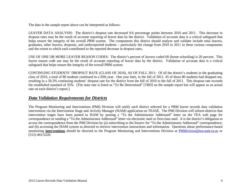The data in the sample report above can be interpreted as follows:

LEAVER DATA ANALYSIS: The district's dropout rate decreased 9.6 percentage points between 2010 and 2011. This decrease in dropout rates may be the result of accurate reporting of leaver data by the district. Validation of accurate data is a critical safeguard that helps ensure the integrity of the overall PBM system. The components this district should analyze and validate include total leavers, graduates, other leavers, dropouts, and underreported students – particularly the change from 2010 to 2011 in these various components and the extent to which each contributed to the reported decrease in dropout rates.

USE OF ONE OR MORE LEAVER REASON CODES: The district's percent of leavers coded 60 (home schooling) is 20 percent. This leaver reason code use may be the result of accurate reporting of leaver data by the district. Validation of accurate data is a critical safeguard that helps ensure the integrity of the overall PBM system.

CONTINUING STUDENTS' DROPOUT RATE (CLASS OF 2010), AS OF FALL 2011: Of all the district's students in the graduating class of 2010, a total of 80 students continued to a fifth year. One year later, in the fall of 2011, 45 of those 80 students had dropped out, resulting in a 56.3% continuing students' dropout rate for the district from the fall of 2010 to the fall of 2011. This dropout rate exceeds the established standard of 35%. (The state rate is listed as "To Be Determined" [TBD] on the sample report but will appear as an actual rate on each district's report.)

### *Data Validation Requirements for Districts*

The Program Monitoring and Interventions (PMI) Division will notify each district selected for a PBM leaver records data validation intervention via the Intervention Stage and Activity Manager (ISAM) application on TEASE. The PMI Division will inform districts that intervention stages have been posted to ISAM by posting a "To the Administrator Addressed" letter on the TEA web page for correspondence or sending a "To the Administrator Addressed" letter via electronic mail or first-class mail. It is the district's obligation to access the correspondence from the PMI Division by (a) subscribing to the listserv for "To the Administrator Addressed" correspondence; and (b) accessing the ISAM system as directed to retrieve intervention instructions and information. Questions about performance-based monitoring **interventions** should be directed to the Program Monitoring and Interventions Division at [PMIdivision@tea.state.tx.us](mailto:PMIdivision@tea.state.tx.us) or (512) 463-5226.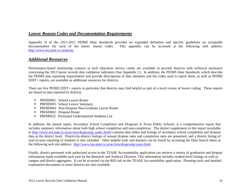## *Leaver Reason Codes and Documentation Requirements*

Appendix D of the *2011-2012 PEIMS Data Standards* provides an expanded definition and specific guidelines on acceptable documentation for each of the leaver reason codes. This appendix can be accessed at the following web address: [http://www.tea.state.tx.us/peims.](http://www.tea.state.tx.us/peims)

### *Additional Resources*

Performance-based monitoring contacts at each education service center are available to provide districts with technical assistance concerning the 2012 leaver records data validation indicators (See Appendix C). In addition, the *PEIMS Data Standards*, which describe the PEIMS data reporting requirements and provide descriptions of data elements and the codes used to report them, as well as PEIMS EDIT+ reports, are available as additional resources for districts.

There are five PEIMS EDIT+ reports in particular that districts may find helpful as part of a local review of leaver coding. These reports are based on data reported by districts.

- **PRF8D002: School Leaver Roster**
- **PRF8D003: School Leaver Summary**
- **PRF8D004: Non-Dropout Non-Graduate Leaver Roster**
- **PRF6D002: Dropout Roster**
- **PRF0B032: Presumed Underreported Students List**

In addition, the annual report, *Secondary School Completion and Dropouts in Texas Public Schools,* is a comprehensive report that includes summary information about both high school completion and non-completion. The district supplement to this report (available at [http://www.tea.state.tx.us/acctres/dropcomp\\_index.html\)](http://www.tea.state.tx.us/acctres/dropcomp_index.html) contains data tables and listings of secondary school completion and dropout data at the district level. District-by-district listings of annual dropout rates and completion rates are presented, and a district listing of year-to-year reporting of students is also included. Other helpful tools and datasets can be found by accessing the Data Search menu at the following web site address: [http://www.tea.state.tx.us/acctres/dropcomp/years.html.](http://www.tea.state.tx.us/acctres/dropcomp/years.html)

Finally, district personnel with authorized access to the TEASE Accountability application can retrieve a variety of graduation and dropout information made available each year by the Research and Analysis Division. This information includes student-level listings as well as campus and district aggregates. It can be accessed via the RES tab on the TEASE Accountability application. Planning tools and detailed explanation documents to assist districts are also available.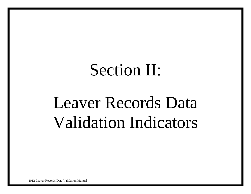## Section II:

# Leaver Records Data Validation Indicators

2012 Leaver Records Data Validation Manual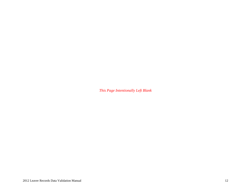*This Page Intentionally Left Blank*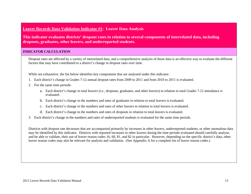### **Leaver Records Data Validation Indicator #1: Leaver Data Analysis**

**This indicator evaluates districts' dropout rates in relation to several components of interrelated data, including dropouts, graduates, other leavers, and underreported students.**

#### **INDICATOR CALCULATION**

Dropout rates are affected by a variety of interrelated data, and a comprehensive analysis of those data is an effective way to evaluate the different factors that may have contributed to a district's change in dropout rates over time.

While not exhaustive, the list below identifies key components that are analyzed under this indicator.

- 1. Each district's change in Grades 7-12 annual dropout rates from 2009 to 2011 and from 2010 to 2011 is evaluated.
- 2. For the same time periods:
	- a. Each district's change in total leavers (i.e., dropouts, graduates, and other leavers) in relation to total Grades 7-12 attendance is evaluated.
	- b. Each district's change in the numbers and rates of graduates in relation to total leavers is evaluated.
	- c. Each district's change in the numbers and rates of other leavers in relation to total leavers is evaluated.
	- d. Each district's change in the numbers and rates of dropouts in relation to total leavers is evaluated.
- 3. Each district's change in the numbers and rates of underreported students is evaluated for the same time periods.

Districts with dropout rate decreases that are accompanied primarily by increases in other leavers, underreported students, or other anomalous data may be identified by this indicator. Districts with reported increases in other leavers during the time periods evaluated should carefully analyze, and be able to validate, their use of leaver reason codes 16, 60, 81, and 82 in particular. However, depending on the specific district's data, other leaver reason codes may also be relevant for analysis and validation. (See Appendix A for a complete list of leaver reason codes.)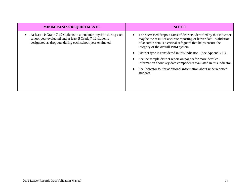| <b>MINIMUM SIZE REQUIREMENTS</b>                                                                                                                                                           | <b>NOTES</b>                                                                                                                                                                                                                                          |
|--------------------------------------------------------------------------------------------------------------------------------------------------------------------------------------------|-------------------------------------------------------------------------------------------------------------------------------------------------------------------------------------------------------------------------------------------------------|
| At least 10 Grade 7-12 students in attendance anytime during each<br>school year evaluated and at least 5 Grade 7-12 students<br>designated as dropouts during each school year evaluated. | The decreased dropout rates of districts identified by this indicator<br>may be the result of accurate reporting of leaver data. Validation<br>of accurate data is a critical safeguard that helps ensure the<br>integrity of the overall PBM system. |
|                                                                                                                                                                                            | District type is considered in this indicator. (See Appendix B).                                                                                                                                                                                      |
|                                                                                                                                                                                            | See the sample district report on page 8 for more detailed<br>information about key data components evaluated in this indicator.                                                                                                                      |
|                                                                                                                                                                                            | See Indicator #2 for additional information about underreported<br>students.                                                                                                                                                                          |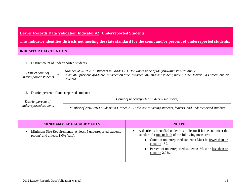## **Leaver Records Data Validation Indicator #2: Underreported Students**

**This indicator identifies districts not meeting the state standard for the count and/or percent of underreported students.**

#### **INDICATOR CALCULATION**

1. District count of underreported students:

*District count of underreported students* <sup>=</sup> *Number of 2010-2011 students in Grades 7-12 for whom none of the following statuses apply: graduate, previous graduate, returned on time, returned late migrant student, mover, other leaver, GED recipient, or dropout*

2. District percent of underreported students:

*Count of underreported students (see above)*

*District percent of underreported students* <sup>=</sup>

*Number of 2010-2011 students in Grades 7-12 who are returning students, leavers, and underreported students*

| <b>MINIMUM SIZE REQUIREMENTS</b>                                                                  | <b>NOTES</b>                                                                                                                                                                                                                                                                                       |
|---------------------------------------------------------------------------------------------------|----------------------------------------------------------------------------------------------------------------------------------------------------------------------------------------------------------------------------------------------------------------------------------------------------|
| Minimum Size Requirements: At least 5 underreported students<br>(count) and at least 1.0% (rate). | A district is identified under this indicator if it does not meet the<br>standard for <u>one or both</u> of the following measures:<br>Count of underreported students: Must be fewer than or<br>equal to $150$ .<br>Percent of underreported students: Must be less than or<br>equal to $2.0\%$ . |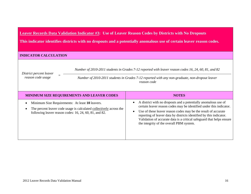**Leaver Records Data Validation Indicator #3: Use of Leaver Reason Codes by Districts with No Dropouts**

**This indicator identifies districts with no dropouts and a potentially anomalous use of certain leaver reason codes.**

#### **INDICATOR CALCULATION**

*District percent leaver*  <sup>*reason code usage*  $=$ </sup>

*Number of 2010-2011 students in Grades 7-12 reported with any non-graduate, non-dropout leaver*

*Number of 2010-2011 students in Grades 7-12 reported with leaver reason codes 16, 24, 60, 81, and 82*

*reason code*

| MINIMUM SIZE REQUIREMENTS AND LEAVER CODES                                                                                                                                            | <b>NOTES</b>                                                                                                                                                                                                                                                                                                                                                                                        |
|---------------------------------------------------------------------------------------------------------------------------------------------------------------------------------------|-----------------------------------------------------------------------------------------------------------------------------------------------------------------------------------------------------------------------------------------------------------------------------------------------------------------------------------------------------------------------------------------------------|
| Minimum Size Requirements: At least 10 leavers.<br>٠<br>The percent leaver code usage is calculated collectively across the<br>following leaver reason codes: 16, 24, 60, 81, and 82. | A district with no dropouts and a potentially anomalous use of<br>certain leaver reason codes may be identified under this indicator.<br>Use of these leaver reason codes may be the result of accurate<br>reporting of leaver data by districts identified by this indicator.<br>Validation of accurate data is a critical safeguard that helps ensure<br>the integrity of the overall PBM system. |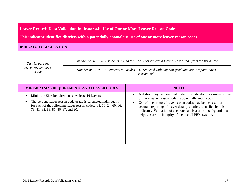## **Leaver Records Data Validation Indicator #4: Use of One or More Leaver Reason Codes**

**This indicator identifies districts with a potentially anomalous use of one or more leaver reason codes.**

#### **INDICATOR CALCULATION**

=

*District percent leaver reason code usage*

*Number of 2010-2011 students in Grades 7-12 reported with any non-graduate, non-dropout leaver reason code* 

*Number of 2010-2011 students in Grades 7-12 reported with a leaver reason code from the list below*

| <b>MINIMUM SIZE REQUIREMENTS AND LEAVER CODES</b>                                                                                                                                                                                              | <b>NOTES</b>                                                                                                                                                                                                                                                                                                                                                                                       |
|------------------------------------------------------------------------------------------------------------------------------------------------------------------------------------------------------------------------------------------------|----------------------------------------------------------------------------------------------------------------------------------------------------------------------------------------------------------------------------------------------------------------------------------------------------------------------------------------------------------------------------------------------------|
| Minimum Size Requirements: At least 10 leavers.<br>$\bullet$<br>The percent leaver reason code usage is calculated individually<br>for each of the following leaver reason codes: $03, 16, 24, 60, 66,$<br>78, 81, 82, 83, 85, 86, 87, and 90. | A district may be identified under this indicator if its usage of one<br>or more leaver reason codes is potentially anomalous.<br>Use of one or more leaver reason codes may be the result of<br>accurate reporting of leaver data by districts identified by this<br>indicator. Validation of accurate data is a critical safeguard that<br>helps ensure the integrity of the overall PBM system. |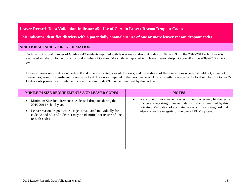## **Leaver Records Data Validation Indicator #5: Use of Certain Leaver Reason Dropout Codes**

**This indicator identifies districts with a potentially anomalous use of one or more leaver reason dropout codes.**

#### **ADDITIONAL INDICATOR INFORMATION**

Each district's total number of Grades 7-12 students reported with leaver reason dropout codes 88, 89, and 98 in the 2010-2011 school year is evaluated in relation to the district's total number of Grades 7-12 students reported with leaver reason dropout code 98 in the 2009-2010 school year.

The new leaver reason dropout codes 88 and 89 are subcategories of dropouts, and the addition of these new reason codes should not, in and of themselves, result in significant increases in total dropouts compared to the previous year. Districts with increases in the total number of Grades 7- 12 dropouts primarily attributable to code 88 and/or code 89 may be identified by this indicator.

| <b>MINIMUM SIZE REQUIREMENTS AND LEAVER CODES</b>                   | <b>NOTES</b>                                                         |
|---------------------------------------------------------------------|----------------------------------------------------------------------|
| Minimum Size Requirements: At least 5 dropouts during the           | Use of one or more leaver reason dropout codes may be the result     |
| 2010-2011 school year.                                              | ٠                                                                    |
| Leaver reason dropout code usage is evaluated individually for      | of accurate reporting of leaver data by districts identified by this |
| code 88 and 89, and a district may be identified for its use of one | indicator. Validation of accurate data is a critical safeguard that  |
| or both codes.                                                      | helps ensure the integrity of the overall PBM system.                |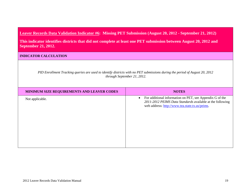**Leaver Records Data Validation Indicator #6: Missing PET Submission (August 20, 2012 - September 21, 2012)** 

**This indicator identifies districts that did not complete at least one PET submission between August 20, 2012 and September 21, 2012.** 

#### **INDICATOR CALCULATION**

*PID Enrollment Tracking queries are used to identify districts with no PET submissions during the period of August 20, 2012 through September 21, 2012.*

| MINIMUM SIZE REQUIREMENTS AND LEAVER CODES | <b>NOTES</b>                                                                                                                                                            |
|--------------------------------------------|-------------------------------------------------------------------------------------------------------------------------------------------------------------------------|
| Not applicable.                            | For additional information on PET, see Appendix G of the<br>2011-2012 PEIMS Data Standards available at the following<br>web address: http://www.tea.state.tx.us/peims. |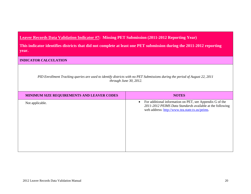**Leaver Records Data Validation Indicator #7: Missing PET Submission (2011-2012 Reporting Year)**

**This indicator identifies districts that did not complete at least one PET submission during the 2011-2012 reporting year.**

#### **INDICATOR CALCULATION**

*PID Enrollment Tracking queries are used to identify districts with no PET Submissions during the period of August 22, 2011 through June 30, 2012.*

| MINIMUM SIZE REQUIREMENTS AND LEAVER CODES | <b>NOTES</b>                                                                                                                                                            |
|--------------------------------------------|-------------------------------------------------------------------------------------------------------------------------------------------------------------------------|
| Not applicable.                            | For additional information on PET, see Appendix G of the<br>2011-2012 PEIMS Data Standards available at the following<br>web address: http://www.tea.state.tx.us/peims. |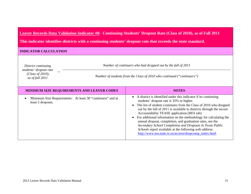**Leaver Records Data Validation Indicator #8: Continuing Students' Dropout Rate (Class of 2010), as of Fall 2011**

**This indicator identifies districts with a continuing students' dropout rate that exceeds the state standard.**

#### **INDICATOR CALCULATION**

| District continuing<br>students' dropout rate | Number of continuers who had dropped out by the fall of 2011           |                                                                                                                                                                                                                                                                                                                                                                                                                                                                                                                                                                                                                              |  |
|-----------------------------------------------|------------------------------------------------------------------------|------------------------------------------------------------------------------------------------------------------------------------------------------------------------------------------------------------------------------------------------------------------------------------------------------------------------------------------------------------------------------------------------------------------------------------------------------------------------------------------------------------------------------------------------------------------------------------------------------------------------------|--|
| $=$<br>(Class of 2010),<br>as of fall 2011    | Number of students from the Class of 2010 who continued ("continuers") |                                                                                                                                                                                                                                                                                                                                                                                                                                                                                                                                                                                                                              |  |
|                                               | <b>MINIMUM SIZE REQUIREMENTS AND LEAVER CODES</b>                      | <b>NOTES</b>                                                                                                                                                                                                                                                                                                                                                                                                                                                                                                                                                                                                                 |  |
| least 5 dropouts.                             | Minimum Size Requirements: At least 30 "continuers" and at             | • A district is identified under this indicator if its continuing<br>students' dropout rate is 35% or higher.<br>The list of student continuers from the Class of 2010 who dropped<br>out by the fall of 2011 is available to districts through the secure<br>Accountability TEASE application (RES tab).<br>For additional information on the methodology for calculating the<br>annual dropout, completion, and graduation rates, see the<br>Secondary School Completion and Dropouts in Texas Public<br>Schools report available at the following web address:<br>http://www.tea.state.tx.us/acctres/dropcomp_index.html. |  |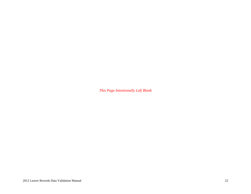*This Page Intentionally Left Blank*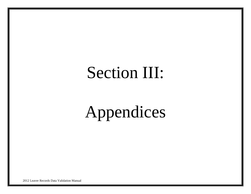# Section III:

# Appendices

2012 Leaver Records Data Validation Manual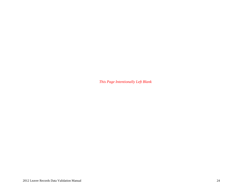*This Page Intentionally Left Blank*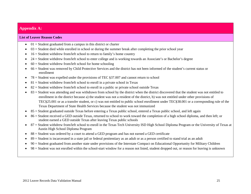#### **Appendix A:**

#### **List of Leaver Reason Codes**

- $\bullet$  01 = Student graduated from a campus in this district or charter
- $\bullet$  03 = Student died while enrolled in school or during the summer break after completing the prior school year
- $16 =$  Student withdrew from/left school to return to family's home country
- $\bullet$  24 = Student withdrew from/left school to enter college and is working towards an Associate's or Bachelor's degree
- $\bullet$  60 = Student withdrew from/left school for home schooling
- 66 = Student was removed by Child Protective Services and the district has not been informed of the student's current status or enrollment
- $78 =$  Student was expelled under the provisions of TEC §37.007 and cannot return to school
- 81 = Student withdrew from/left school to enroll in a private school in Texas
- 82 = Student withdrew from/left school to enroll in a public or private school outside Texas
- 83 = Student was attending and was withdrawn from school by the district when the district discovered that the student was not entitled to enrollment in the district because a) the student was not a resident of the district, b) was not entitled under other provisions of TEC§25.001 or as a transfer student, or c) was not entitled to public school enrollment under TEC§38.001 or a corresponding rule of the Texas Department of State Health Services because the student was not immunized
- $\bullet$  85 = Student graduated outside Texas before entering a Texas public school, entered a Texas public school, and left again
- 86 = Student received a GED outside Texas, returned to school to work toward the completion of a high school diploma, and then left; or student earned a GED outside Texas after leaving Texas public schools
- 87 = Student withdrew from/left school to enroll in the Texas Tech University ISD High School Diploma Program or the University of Texas at Austin High School Diploma Program
- 88 = Student was ordered by a court to attend a GED program and has not earned a GED certificate
- 89 = Student is incarcerated in a state jail or federal penitentiary as an adult or as a person certified to stand trial as an adult
- 90 = Student graduated from another state under provisions of the Interstate Compact on Educational Opportunity for Military Children
- $\bullet$  98 = Student was not enrolled within the school-start window for a reason not listed, student dropped out, or reason for leaving is unknown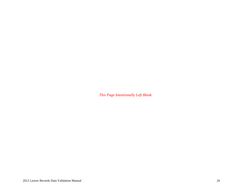*This Page Intentionally Left Blank*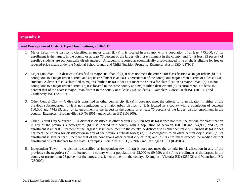### **Appendix B:**

#### **Brief Descriptions of District Type Classifications, 2010-2011**

- 1. Major Urban A district is classified as major urban if: (a) it is located in a county with a population of at least 775,000; (b) its enrollment is the largest in the county or at least 75 percent of the largest district enrollment in the county; and (c) at least 35 percent of enrolled students are economically disadvantaged. A student is reported as economically disadvantaged if he or she is eligible for free or reduced-price meals under the National School Lunch and Child Nutrition Program. Example: Austin ISD (227901).
- 2. Major Suburban A district is classified as major suburban if: (a) it does not meet the criteria for classification as major urban; (b) it is contiguous to a major urban district; and (c) its enrollment is at least 3 percent that of the contiguous major urban district or at least 4,500 students. A district also is classified as major suburban if: (a) it does not meet the criteria for classification as major urban; (b) it is not contiguous to a major urban district; (c) it is located in the same county as a major urban district; and (d) its enrollment is at least 15 percent that of the nearest major urban district in the county or at least 4,500 students. Examples: Goose Creek ISD (101911) and Castleberry ISD (220917).
- 3. Other Central City  $A$  district is classified as other central city if: (a) it does not meet the criteria for classification in either of the previous subcategories; (b) it is not contiguous to a major urban district; (c) it is located in a county with a population of between 100,000 and 774,999; and (d) its enrollment is the largest in the county or at least 75 percent of the largest district enrollment in the county. Examples: Brownsville ISD (031901) and McAllen ISD (108906).
- 4. Other Central City Suburban A district is classified as other central city suburban if: (a) it does not meet the criteria for classification in any of the previous subcategories; (b) it is located in a county with a population of between 100,000 and 774,999; and (c) its enrollment is at least 15 percent of the largest district enrollment in the county. A district also is other central city suburban if: (a) it does not meet the criteria for classification in any of the previous subcategories; (b) it is contiguous to an other central city district; (c) its enrollment is greater than 3 percent that of the contiguous other central city district; and (d) its enrollment exceeds the median district enrollment of 779 students for the state. Examples: Port Arthur ISD (123907) and Harlingen CISD (031903).
- 5. Independent Town A district is classified as independent town if: (a) it does not meet the criteria for classification in any of the previous subcategories; (b) it is located in a county with a population of 25,000 to 99,999; and (c) its enrollment is the largest in the county or greater than 75 percent of the largest district enrollment in the county. Examples: Victoria ISD (235902) and Winnsboro ISD (250907).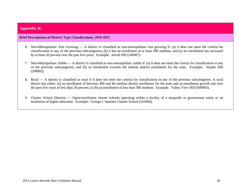#### **Appendix B:**

#### **Brief Descriptions of District Type Classifications, 2010-2011**

- 6. Non-Metropolitan: Fast Growing A district is classified as non-metropolitan: fast growing if: (a) it does not meet the criteria for classification in any of the previous subcategories; (b) it has an enrollment of at least 300 students; and (c) its enrollment has increased by at least 20 percent over the past five years. Example: Jarrell ISD (246907).
- 7. Non-Metropolitan: Stable A district is classified as non-metropolitan: stable if: (a) it does not meet the criteria for classification in any of the previous subcategories; and (b) its enrollment exceeds the median district enrollment for the state. Example: Snyder ISD (208902).
- 8. Rural A district is classified as rural if it does not meet the criteria for classification in any of the previous subcategories. A rural district has either: (a) an enrollment of between 300 and the median district enrollment for the state and an enrollment growth rate over the past five years of less than 20 percent; or (b) an enrollment of less than 300 students. Example: Valley View ISD (049903).
- 9. Charter School Districts Open-enrollment charter schools operating within a facility of a nonprofit or government entity or an institution of higher education. Example: George I. Sanchez Charter School (101804).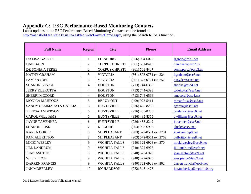## **Appendix C: ESC Performance-Based Monitoring Contacts**

Latest updates to the ESC Performance Based Monitoring Contacts can be found at [http://mansfield.tea.state.tx.us/tea.askted.web/Forms/Home.aspx,](http://mansfield.tea.state.tx.us/tea.askted.web/Forms/Home.aspx) using the Search RESCs function.

| <b>Full Name</b>       | <b>Region</b>  | <b>City</b>           | <b>Phone</b>            | <b>Email Address</b>      |
|------------------------|----------------|-----------------------|-------------------------|---------------------------|
| DR LISA GARCIA         |                | <b>EDINBURG</b>       | $(956)$ 984-6027        | lgarcia@esc1.net          |
| <b>DAN BAEN</b>        | $\overline{2}$ | <b>CORPUS CHRISTI</b> | $(361)$ 561-8415        | dan.baen@esc2.us          |
| DR SONIA A PEREZ       | $\overline{2}$ | <b>CORPUS CHRISTI</b> | $(361) 561 - 8407$      | sonia.perez@esc2.us       |
| <b>KATHY GRAHAM</b>    | 3              | <b>VICTORIA</b>       | (361) 573-0731 ext:324  | kgraham@esc3.net          |
| <b>PAM SNYDER</b>      | 3              | <b>VICTORIA</b>       | (361) 573-0731 ext:252  | psnyder@esc3.net          |
| <b>SHARON BENKA</b>    | 4              | <b>HOUSTON</b>        | $(713) 744 - 6358$      | sbenka@esc4.net           |
| <b>JERRY KLEKOTTA</b>  | 4              | <b>HOUSTON</b>        | $(713) 744 - 6393$      | gklekotta@esc4.net        |
| <b>SHERRI MCCORD</b>   | $\overline{4}$ | <b>HOUSTON</b>        | $(713) 744 - 6596$      | smccord@esc4.net          |
| <b>MONICA MAHFOUZ</b>  | 5              | <b>BEAUMONT</b>       | $(409)$ 923-5411        | mmahfouz@esc5.net         |
| SANDY CAMMARATA-GARCIA | 6              | <b>HUNTSVILLE</b>     | $(936)$ 435-8235        | sgarcia@esc6.net          |
| <b>TERESA ANDERSON</b> | 6              | <b>HUNTSVILLE</b>     | $(936)$ 435-8250        | tanderson@esc6.net        |
| <b>CAROL WILLIAMS</b>  | 6              | <b>HUNTSVILLE</b>     | $(936)$ 435-8355        | cwilliams@esc6.net        |
| <b>JAYNE TAVENNER</b>  | 6              | <b>HUNTSVILLE</b>     | $(936)$ 435-8242        | jtavenner@esc6.net        |
| <b>SHARON LUSK</b>     | $\overline{7}$ | <b>KILGORE</b>        | $(903)$ 988-6908        | slusk@esc7.net            |
| <b>KARLA COKER</b>     | 8              | MT PLEASANT           | (903) 572-8551 ext:2731 | kcoker@reg8.net           |
| PAM ALBRITTON          | 8              | MT PLEASANT           | (903) 572-8551 ext:2762 | palbritton@reg8.net       |
| <b>MICKI WESLEY</b>    | 9              | <b>WICHITA FALLS</b>  | (940) 322-6928 ext:370  | micki.wesley@esc9.net     |
| <b>JILL LANDRUM</b>    | 9              | <b>WICHITA FALLS</b>  | $(940)$ 322-6928        | jill.landrum@esc9.net     |
| <b>JEAN ASHTON</b>     | 9              | <b>WICHITA FALLS</b>  | $(940)$ 322-6928        | jean.ashton@esc9.net      |
| <b>WES PIERCE</b>      | 9              | <b>WICHITA FALLS</b>  | $(940)$ 322-6928        | wes.pierce@esc9.net       |
| <b>DARREN FRANCIS</b>  | 9              | <b>WICHITA FALLS</b>  | (940) 322-6928 ext:302  | darren.francis@esc9.net   |
| <b>JAN MOBERLEY</b>    | 10             | <b>RICHARDSON</b>     | $(972)$ 348-1426        | jan.moberley@region10.org |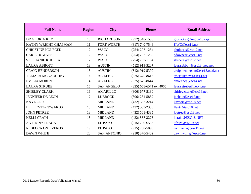| <b>Full Name</b>         | <b>Region</b> | <b>City</b>        | <b>Phone</b>            | <b>Email Address</b>           |
|--------------------------|---------------|--------------------|-------------------------|--------------------------------|
| DR GLORIA KEY            | 10            | <b>RICHARDSON</b>  | $(972)$ 348-1536        | gloria.key@region10.org        |
| KATHY WRIGHT-CHAPMAN     | 11            | <b>FORT WORTH</b>  | $(817) 740 - 7546$      | KWC@esc11.net                  |
| <b>CHRISTINE HOLECEK</b> | 12            | <b>WACO</b>        | $(254)$ 297-1284        | cholecek@esc12.net             |
| <b>CARIE DOWNES</b>      | 12            | <b>WACO</b>        | $(254) 297 - 1252$      | cdownes@esc12.net              |
| STEPHANIE KUCERA         | 12            | <b>WACO</b>        | $(254)$ 297-1154        | skucera@esc12.net              |
| <b>LAURA ABBOTT</b>      | 13            | <b>AUSTIN</b>      | $(512)$ 919-5207        | laura.abbott@esc13.txed.net    |
| <b>CRAIG HENDERSON</b>   | 13            | <b>AUSTIN</b>      | $(512)$ 919-5390        | craig.henderson@esc13.txed.net |
| TAMARA MCGAUGHEY         | 14            | <b>ABILENE</b>     | $(325)$ 675-8616        | tmcgaughey@esc14.net           |
| <b>EMILIA MORENO</b>     | 14            | <b>ABILENE</b>     | $(325)$ 675-8644        | emoreno@esc14.net              |
| <b>LAURA STRUBE</b>      | 15            | <b>SAN ANGELO</b>  | (325) 658-6571 ext:4065 | laura.strube@netxv.net         |
| <b>SHIRLEY CLARK</b>     | 16            | <b>AMARILLO</b>    | $(806)$ 677-5130        | shirley.clark@esc16.net        |
| <b>JENNIFER DE LEON</b>  | 17            | <b>LUBBOCK</b>     | $(806)$ 281-5889        | jdeleon@esc17.net              |
| <b>KAYE ORR</b>          | 18            | <b>MIDLAND</b>     | $(432)$ 567-3244        | kayeorr@esc18.net              |
| LEE LENTZ-EDWARDS        | 18            | <b>MIDLAND</b>     | $(432)$ 563-2380        | llentz@esc18.net               |
| <b>JOHN PETREE</b>       | 18            | <b>MIDLAND</b>     | $(432)$ 561-4385        | jpetree@esc18.net              |
| <b>KELLI CRAIN</b>       | 18            | <b>MIDLAND</b>     | $(432)$ 567-3273        | kcrain@ESC18.NET               |
| <b>ANTHONY FRAGA</b>     | 19            | <b>EL PASO</b>     | $(915) 780 - 6553$      | afraga@esc19.net               |
| <b>REBECCA ONTIVEROS</b> | 19            | <b>EL PASO</b>     | $(915) 780 - 5093$      | rontiveros@esc19.net           |
| <b>DAWN WHITE</b>        | 20            | <b>SAN ANTONIO</b> | $(210)$ 370-5402        | dawn.white@esc20.net           |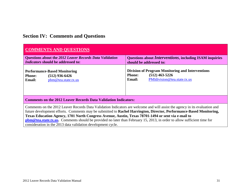## **Section IV: Comments and Questions**

| <b>COMMENTS AND QUESTIONS</b>                                                                                                                                                                                                                                                                                                                                                                                                                                                                                                                       |                                                                                                                                              |  |
|-----------------------------------------------------------------------------------------------------------------------------------------------------------------------------------------------------------------------------------------------------------------------------------------------------------------------------------------------------------------------------------------------------------------------------------------------------------------------------------------------------------------------------------------------------|----------------------------------------------------------------------------------------------------------------------------------------------|--|
| <b>Questions about the 2012 Leaver Records Data Validation</b><br><i>Indicators</i> should be addressed to:                                                                                                                                                                                                                                                                                                                                                                                                                                         | Questions about <i>Interventions</i> , including ISAM inquiries<br>should be addressed to:                                                   |  |
| <b>Performance-Based Monitoring</b><br>$(512)$ 936-6426<br><b>Phone:</b><br><b>Email:</b><br>pbm@tea.state.tx.us                                                                                                                                                                                                                                                                                                                                                                                                                                    | <b>Division of Program Monitoring and Interventions</b><br>$(512)$ 463-5226<br><b>Phone:</b><br>PMIdivision@tea.state.tx.us<br><b>Email:</b> |  |
| <b>Comments on the 2012 Leaver Records Data Validation Indicators:</b>                                                                                                                                                                                                                                                                                                                                                                                                                                                                              |                                                                                                                                              |  |
| Comments on the 2012 Leaver Records Data Validation Indicators are welcome and will assist the agency in its evaluation and<br>future development efforts. Comments may be submitted to Rachel Harrington, Director, Performance-Based Monitoring,<br>Texas Education Agency, 1701 North Congress Avenue, Austin, Texas 78701-1494 or sent via e-mail to<br>phm@tea.state.tx.us. Comments should be provided no later than February 15, 2013, in order to allow sufficient time for<br>consideration in the 2013 data validation development cycle. |                                                                                                                                              |  |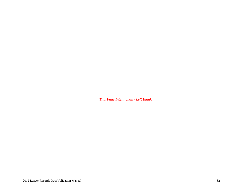*This Page Intentionally Left Blank*